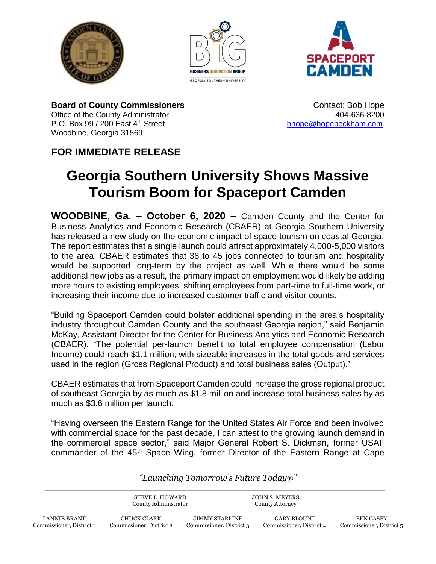





**Board of County Commissioners Contact: Bob Hope Contact: Bob Hope** Office of the County Administrator **404-636-8200** P.O. Box 99 / 200 East 4<sup>th</sup> Street bhope a [bhope@hopebeckham.com](mailto:bhope@hopebeckham.com) Woodbine, Georgia 31569

## **FOR IMMEDIATE RELEASE**

## **Georgia Southern University Shows Massive Tourism Boom for Spaceport Camden**

**WOODBINE, Ga. – October 6, 2020 –** Camden County and the Center for Business Analytics and Economic Research (CBAER) at Georgia Southern University has released a new study on the economic impact of space tourism on coastal Georgia. The report estimates that a single launch could attract approximately 4,000-5,000 visitors to the area. CBAER estimates that 38 to 45 jobs connected to tourism and hospitality would be supported long-term by the project as well. While there would be some additional new jobs as a result, the primary impact on employment would likely be adding more hours to existing employees, shifting employees from part-time to full-time work, or increasing their income due to increased customer traffic and visitor counts.

"Building Spaceport Camden could bolster additional spending in the area's hospitality industry throughout Camden County and the southeast Georgia region," said Benjamin McKay, Assistant Director for the Center for Business Analytics and Economic Research (CBAER). "The potential per-launch benefit to total employee compensation (Labor Income) could reach \$1.1 million, with sizeable increases in the total goods and services used in the region (Gross Regional Product) and total business sales (Output)."

CBAER estimates that from Spaceport Camden could increase the gross regional product of southeast Georgia by as much as \$1.8 million and increase total business sales by as much as \$3.6 million per launch.

"Having overseen the Eastern Range for the United States Air Force and been involved with commercial space for the past decade, I can attest to the growing launch demand in the commercial space sector," said Major General Robert S. Dickman, former USAF commander of the 45<sup>th</sup> Space Wing, former Director of the Eastern Range at Cape

*"Launching Tomorrow's Future Today®"*

STEVE L. HOWARD County Administrator JOHN S. MEYERS County Attorney

JIMMY STARLINE Commissioner, District 3

GARY BLOUNT Commissioner, District 4

BEN CASEY Commissioner, District 5